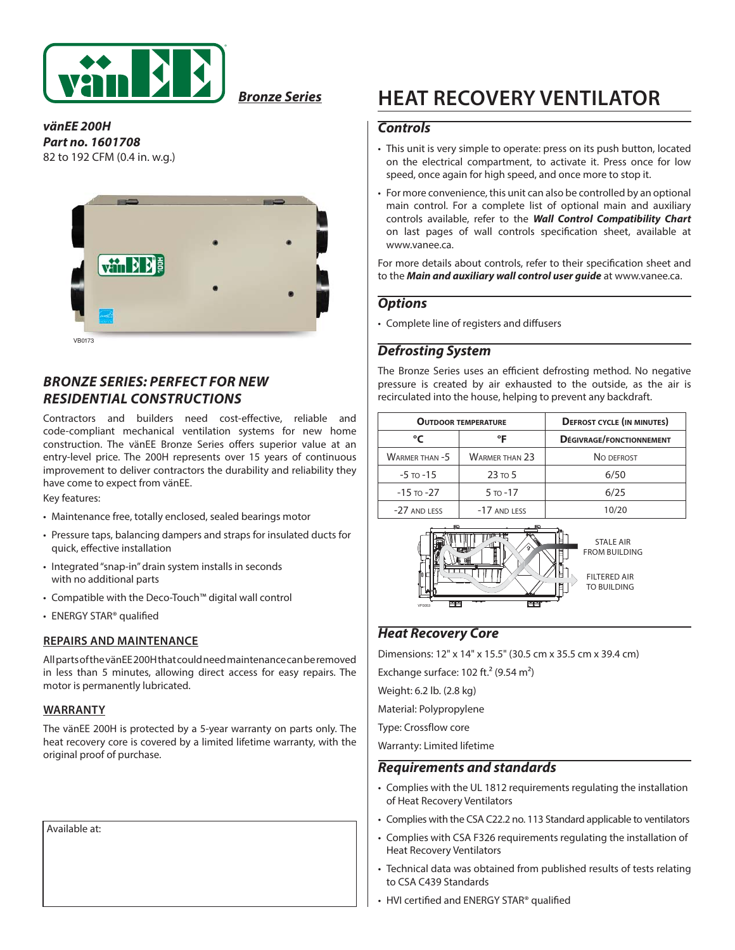

*Bronze Series*

*vänEE 200H Part no. 1601708* 82 to 192 CFM (0.4 in. w.g.)



### *BRONZE SERIES: PERFECT FOR NEW RESIDENTIAL CONSTRUCTIONS*

Contractors and builders need cost-effective, reliable and code-compliant mechanical ventilation systems for new home construction. The vänEE Bronze Series offers superior value at an entry-level price. The 200H represents over 15 years of continuous improvement to deliver contractors the durability and reliability they have come to expect from vänEE.

Key features:

- Maintenance free, totally enclosed, sealed bearings motor
- Pressure taps, balancing dampers and straps for insulated ducts for quick, effective installation
- Integrated "snap-in" drain system installs in seconds with no additional parts
- Compatible with the Deco-Touch™ digital wall control
- ENERGY STAR® qualified

#### **REPAIRS AND MAINTENANCE**

All parts of the vänEE 200H that could need maintenance can be removed in less than 5 minutes, allowing direct access for easy repairs. The motor is permanently lubricated.

#### **WARRANTY**

The vänEE 200H is protected by a 5-year warranty on parts only. The heat recovery core is covered by a limited lifetime warranty, with the original proof of purchase.

Available at:

# **HEAT RECOVERY VENTILATOR**

#### *Controls*

- This unit is very simple to operate: press on its push button, located on the electrical compartment, to activate it. Press once for low speed, once again for high speed, and once more to stop it.
- For more convenience, this unit can also be controlled by an optional main control. For a complete list of optional main and auxiliary controls available, refer to the *Wall Control Compatibility Chart*  on last pages of wall controls specification sheet, available at www.vanee.ca.

For more details about controls, refer to their specification sheet and to the *Main and auxiliary wall control user guide* at www.vanee.ca.

#### *Options*

• Complete line of registers and diffusers

#### *Defrosting System*

The Bronze Series uses an efficient defrosting method. No negative pressure is created by air exhausted to the outside, as the air is recirculated into the house, helping to prevent any backdraft.

|                | <b>OUTDOOR TEMPERATURE</b> | <b>DEFROST CYCLE (IN MINUTES)</b> |  |  |
|----------------|----------------------------|-----------------------------------|--|--|
| °C             | °F                         | DÉGIVRAGE/FONCTIONNEMENT          |  |  |
| WARMER THAN -5 | <b>WARMER THAN 23</b>      | NO DEFROST                        |  |  |
| $-5$ to $-15$  | $23 \text{ to } 5$         | 6/50                              |  |  |
| $-15$ to $-27$ | $5 - 17$                   | 6/25                              |  |  |
| -27 AND LESS   | -17 AND LESS               | 10/20                             |  |  |



STALE AIR FROM BUILDING

FILTERED AIR TO BUILDING

#### *Heat Recovery Core*

Dimensions: 12" x 14" x 15.5" (30.5 cm x 35.5 cm x 39.4 cm)

Exchange surface:  $102$  ft.<sup>2</sup> (9.54 m<sup>2</sup>)

Weight: 6.2 lb. (2.8 kg)

Material: Polypropylene

Type: Crossflow core

Warranty: Limited lifetime

#### *Requirements and standards*

- Complies with the UL 1812 requirements regulating the installation of Heat Recovery Ventilators
- Complies with the CSA C22.2 no. 113 Standard applicable to ventilators
- Complies with CSA F326 requirements regulating the installation of Heat Recovery Ventilators
- Technical data was obtained from published results of tests relating to CSA C439 Standards
- HVI certified and ENERGY STAR® qualified